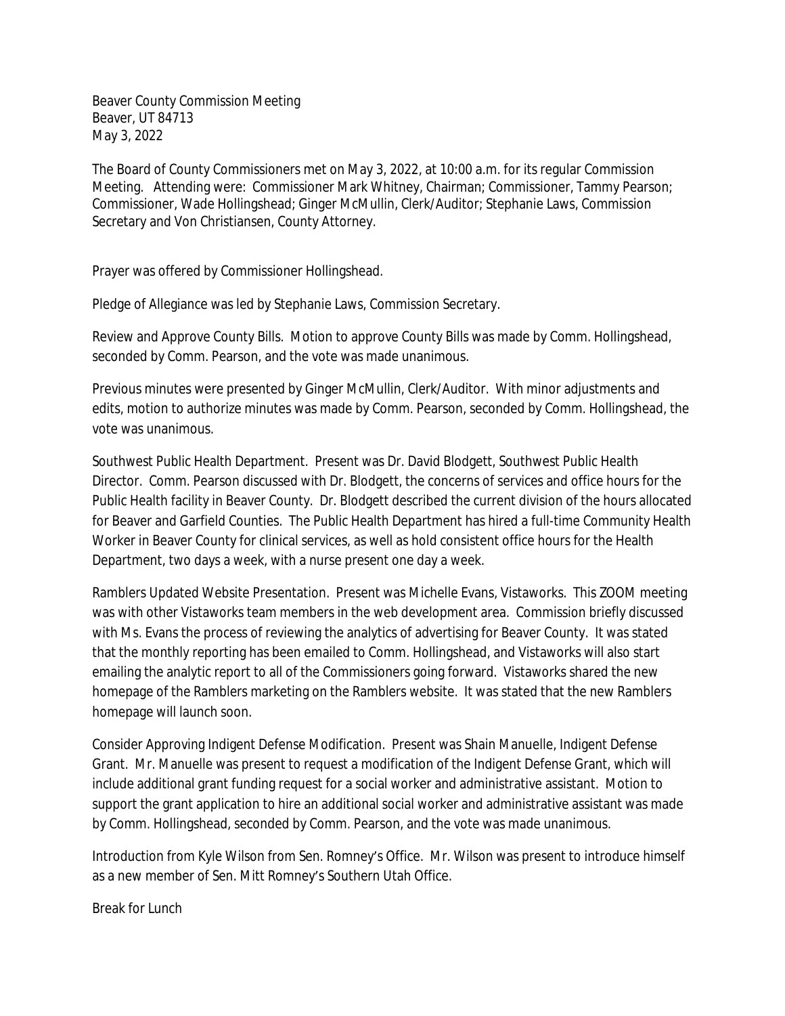Beaver County Commission Meeting Beaver, UT 84713 May 3, 2022

The Board of County Commissioners met on May 3, 2022, at 10:00 a.m. for its regular Commission Meeting. Attending were: Commissioner Mark Whitney, Chairman; Commissioner, Tammy Pearson; Commissioner, Wade Hollingshead; Ginger McMullin, Clerk/Auditor; Stephanie Laws, Commission Secretary and Von Christiansen, County Attorney.

Prayer was offered by Commissioner Hollingshead.

Pledge of Allegiance was led by Stephanie Laws, Commission Secretary.

Review and Approve County Bills. Motion to approve County Bills was made by Comm. Hollingshead, seconded by Comm. Pearson, and the vote was made unanimous.

Previous minutes were presented by Ginger McMullin, Clerk/Auditor. With minor adjustments and edits, motion to authorize minutes was made by Comm. Pearson, seconded by Comm. Hollingshead, the vote was unanimous.

Southwest Public Health Department. Present was Dr. David Blodgett, Southwest Public Health Director. Comm. Pearson discussed with Dr. Blodgett, the concerns of services and office hours for the Public Health facility in Beaver County. Dr. Blodgett described the current division of the hours allocated for Beaver and Garfield Counties. The Public Health Department has hired a full-time Community Health Worker in Beaver County for clinical services, as well as hold consistent office hours for the Health Department, two days a week, with a nurse present one day a week.

Ramblers Updated Website Presentation. Present was Michelle Evans, Vistaworks. This ZOOM meeting was with other Vistaworks team members in the web development area. Commission briefly discussed with Ms. Evans the process of reviewing the analytics of advertising for Beaver County. It was stated that the monthly reporting has been emailed to Comm. Hollingshead, and Vistaworks will also start emailing the analytic report to all of the Commissioners going forward. Vistaworks shared the new homepage of the Ramblers marketing on the Ramblers website. It was stated that the new Ramblers homepage will launch soon.

Consider Approving Indigent Defense Modification. Present was Shain Manuelle, Indigent Defense Grant. Mr. Manuelle was present to request a modification of the Indigent Defense Grant, which will include additional grant funding request for a social worker and administrative assistant. Motion to support the grant application to hire an additional social worker and administrative assistant was made by Comm. Hollingshead, seconded by Comm. Pearson, and the vote was made unanimous.

Introduction from Kyle Wilson from Sen. Romney's Office. Mr. Wilson was present to introduce himself as a new member of Sen. Mitt Romney's Southern Utah Office.

Break for Lunch